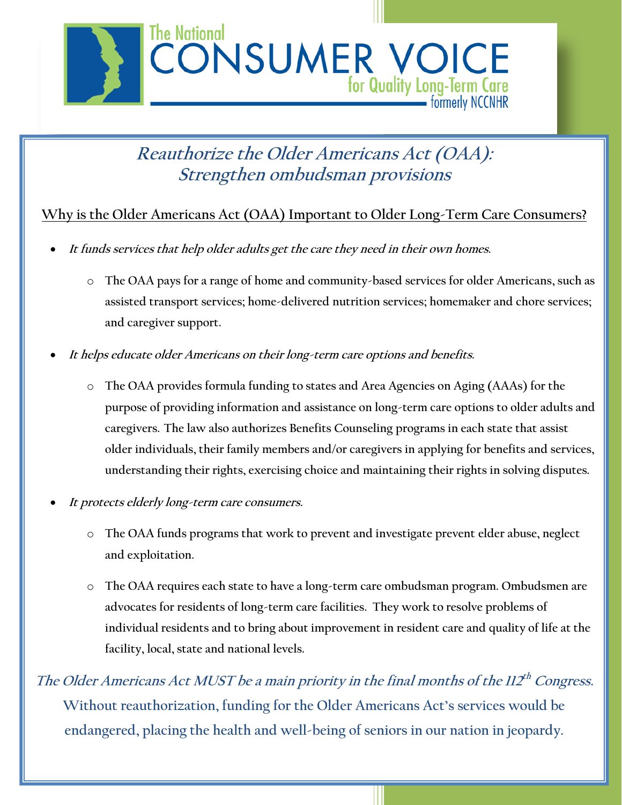

## **Reauthorize the Older Americans Act (OAA): Strengthen ombudsman provisions**

## **Why is the Older Americans Act (OAA) Important to Older Long-Term Care Consumers?**

- **It funds services that help older adults get the care they need in their own homes.** 
	- o **The OAA pays for a range of home and community-based services for older Americans, such as assisted transport services; home-delivered nutrition services; homemaker and chore services; and caregiver support.**
- **It helps educate older Americans on their long-term care options and benefits.**
	- o **The OAA provides formula funding to states and Area Agencies on Aging (AAAs) for the purpose of providing information and assistance on long-term care options to older adults and caregivers. The law also authorizes Benefits Counseling programs in each state that assist older individuals, their family members and/or caregivers in applying for benefits and services, understanding their rights, exercising choice and maintaining their rights in solving disputes.**
- **It protects elderly long-term care consumers.**
	- o **The OAA funds programs that work to prevent and investigate prevent elder abuse, neglect and exploitation.**
	- o **The OAA requires each state to have a long-term care ombudsman program. Ombudsmen are advocates for residents of long-term care facilities. They work to resolve problems of individual residents and to bring about improvement in resident care and quality of life at the facility, local, state and national levels.**

The Older Americans Act MUST be a main priority in the final months of the  $II2^{th}$  Congress. **Without reauthorization, funding for the Older Americans Act's services would be endangered, placing the health and well-being of seniors in our nation in jeopardy.**